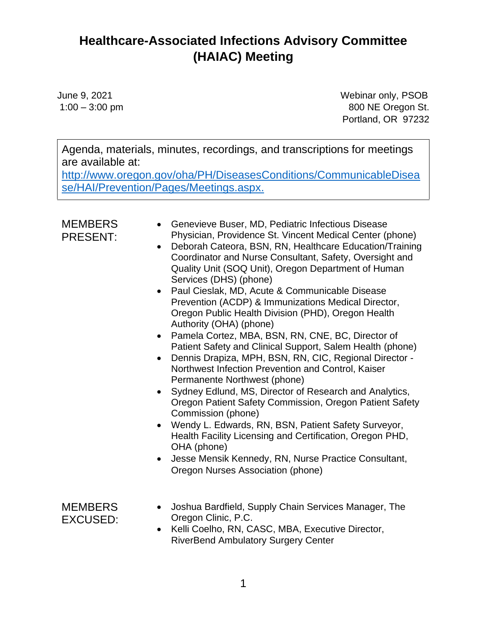June 9, 2021 Webinar only, PSOB 1:00 – 3:00 pm 800 NE Oregon St. Portland, OR 97232

Agenda, materials, minutes, recordings, and transcriptions for meetings are available at:

[http://www.oregon.gov/oha/PH/DiseasesConditions/CommunicableDisea](http://www.oregon.gov/oha/PH/DiseasesConditions/CommunicableDisease/HAI/Prevention/Pages/Meetings.aspx) [se/HAI/Prevention/Pages/Meetings.aspx.](http://www.oregon.gov/oha/PH/DiseasesConditions/CommunicableDisease/HAI/Prevention/Pages/Meetings.aspx)

| <b>MEMBERS</b><br><b>PRESENT:</b> | Genevieve Buser, MD, Pediatric Infectious Disease<br>$\bullet$<br>Physician, Providence St. Vincent Medical Center (phone)<br>Deborah Cateora, BSN, RN, Healthcare Education/Training<br>$\bullet$<br>Coordinator and Nurse Consultant, Safety, Oversight and<br>Quality Unit (SOQ Unit), Oregon Department of Human<br>Services (DHS) (phone)<br>Paul Cieslak, MD, Acute & Communicable Disease<br>$\bullet$<br>Prevention (ACDP) & Immunizations Medical Director,<br>Oregon Public Health Division (PHD), Oregon Health<br>Authority (OHA) (phone)<br>Pamela Cortez, MBA, BSN, RN, CNE, BC, Director of<br>$\bullet$<br>Patient Safety and Clinical Support, Salem Health (phone)<br>Dennis Drapiza, MPH, BSN, RN, CIC, Regional Director -<br>$\bullet$<br>Northwest Infection Prevention and Control, Kaiser<br>Permanente Northwest (phone)<br>Sydney Edlund, MS, Director of Research and Analytics,<br>$\bullet$<br>Oregon Patient Safety Commission, Oregon Patient Safety<br>Commission (phone)<br>• Wendy L. Edwards, RN, BSN, Patient Safety Surveyor,<br>Health Facility Licensing and Certification, Oregon PHD,<br>OHA (phone)<br>Jesse Mensik Kennedy, RN, Nurse Practice Consultant,<br>$\bullet$<br>Oregon Nurses Association (phone) |
|-----------------------------------|---------------------------------------------------------------------------------------------------------------------------------------------------------------------------------------------------------------------------------------------------------------------------------------------------------------------------------------------------------------------------------------------------------------------------------------------------------------------------------------------------------------------------------------------------------------------------------------------------------------------------------------------------------------------------------------------------------------------------------------------------------------------------------------------------------------------------------------------------------------------------------------------------------------------------------------------------------------------------------------------------------------------------------------------------------------------------------------------------------------------------------------------------------------------------------------------------------------------------------------------------------|
| <b>MEMBERS</b><br><b>EXCUSED:</b> | Joshua Bardfield, Supply Chain Services Manager, The<br>$\bullet$<br>Oregon Clinic, P.C.<br>Kelli Coelho, RN, CASC, MBA, Executive Director,<br>$\bullet$<br><b>RiverBend Ambulatory Surgery Center</b>                                                                                                                                                                                                                                                                                                                                                                                                                                                                                                                                                                                                                                                                                                                                                                                                                                                                                                                                                                                                                                                 |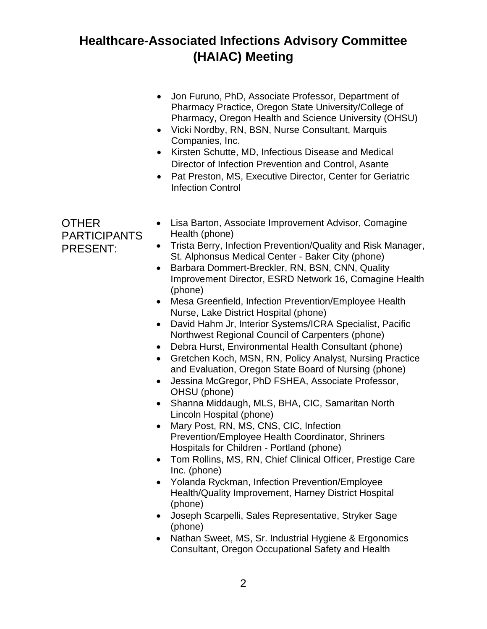OTHER

• Jon Furuno, PhD, Associate Professor, Department of Pharmacy Practice, Oregon State University/College of Pharmacy, Oregon Health and Science University (OHSU) • Vicki Nordby, RN, BSN, Nurse Consultant, Marquis Companies, Inc. • Kirsten Schutte, MD, Infectious Disease and Medical Director of Infection Prevention and Control, Asante • Pat Preston, MS, Executive Director, Center for Geriatric Infection Control PARTICIPANTS PRESENT: • Lisa Barton, Associate Improvement Advisor, Comagine Health (phone) • Trista Berry, Infection Prevention/Quality and Risk Manager, St. Alphonsus Medical Center - Baker City (phone) • Barbara Dommert-Breckler, RN, BSN, CNN, Quality Improvement Director, ESRD Network 16, Comagine Health (phone) • Mesa Greenfield, Infection Prevention/Employee Health Nurse, Lake District Hospital (phone) • David Hahm Jr, Interior Systems/ICRA Specialist, Pacific Northwest Regional Council of Carpenters (phone) • Debra Hurst, Environmental Health Consultant (phone) • Gretchen Koch, MSN, RN, Policy Analyst, Nursing Practice and Evaluation, Oregon State Board of Nursing (phone) • Jessina McGregor, PhD FSHEA, Associate Professor, OHSU (phone) • Shanna Middaugh, MLS, BHA, CIC, Samaritan North Lincoln Hospital (phone) • Mary Post, RN, MS, CNS, CIC, Infection Prevention/Employee Health Coordinator, Shriners Hospitals for Children - Portland (phone) • Tom Rollins, MS, RN, Chief Clinical Officer, Prestige Care Inc. (phone) • Yolanda Ryckman, Infection Prevention/Employee Health/Quality Improvement, Harney District Hospital (phone) • Joseph Scarpelli, Sales Representative, Stryker Sage (phone) • Nathan Sweet, MS, Sr. Industrial Hygiene & Ergonomics Consultant, Oregon Occupational Safety and Health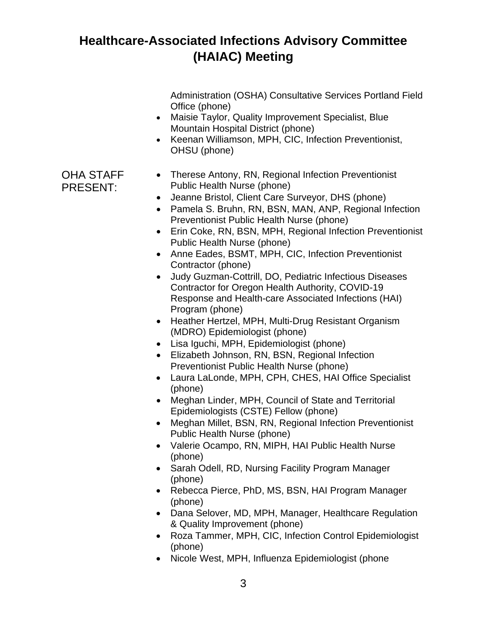Administration (OSHA) Consultative Services Portland Field Office (phone)

- Maisie Taylor, Quality Improvement Specialist, Blue Mountain Hospital District (phone)
- Keenan Williamson, MPH, CIC, Infection Preventionist, OHSU (phone)

#### OHA STAFF PRESENT: • Therese Antony, RN, Regional Infection Preventionist Public Health Nurse (phone)

- Jeanne Bristol, Client Care Surveyor, DHS (phone)
- Pamela S. Bruhn, RN, BSN, MAN, ANP, Regional Infection Preventionist Public Health Nurse (phone)
- Erin Coke, RN, BSN, MPH, Regional Infection Preventionist Public Health Nurse (phone)
- Anne Eades, BSMT, MPH, CIC, Infection Preventionist Contractor (phone)
- Judy Guzman-Cottrill, DO, Pediatric Infectious Diseases Contractor for Oregon Health Authority, COVID-19 Response and Health-care Associated Infections (HAI) Program (phone)
- Heather Hertzel, MPH, Multi-Drug Resistant Organism (MDRO) Epidemiologist (phone)
- Lisa Iguchi, MPH, Epidemiologist (phone)
- Elizabeth Johnson, RN, BSN, Regional Infection Preventionist Public Health Nurse (phone)
- Laura LaLonde, MPH, CPH, CHES, HAI Office Specialist (phone)
- Meghan Linder, MPH, Council of State and Territorial Epidemiologists (CSTE) Fellow (phone)
- Meghan Millet, BSN, RN, Regional Infection Preventionist Public Health Nurse (phone)
- Valerie Ocampo, RN, MIPH, HAI Public Health Nurse (phone)
- Sarah Odell, RD, Nursing Facility Program Manager (phone)
- Rebecca Pierce, PhD, MS, BSN, HAI Program Manager (phone)
- Dana Selover, MD, MPH, Manager, Healthcare Regulation & Quality Improvement (phone)
- Roza Tammer, MPH, CIC, Infection Control Epidemiologist (phone)
- Nicole West, MPH, Influenza Epidemiologist (phone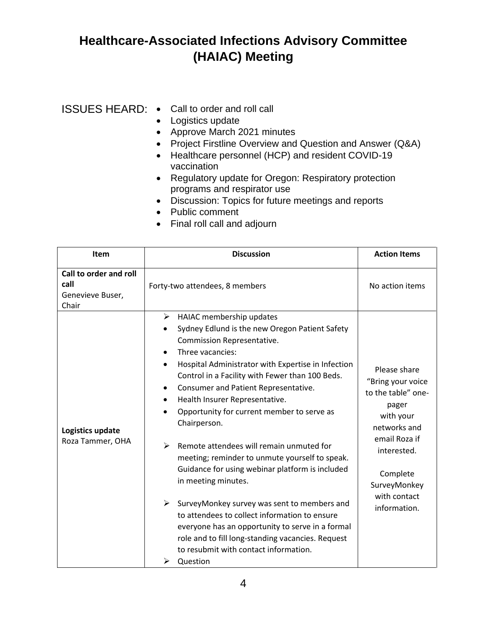#### ISSUES HEARD: • Call to order and roll call

- Logistics update
- Approve March 2021 minutes
- Project Firstline Overview and Question and Answer (Q&A)
- Healthcare personnel (HCP) and resident COVID-19 vaccination
- Regulatory update for Oregon: Respiratory protection programs and respirator use
- Discussion: Topics for future meetings and reports
- Public comment
- Final roll call and adjourn

| <b>Item</b>                                                 | <b>Discussion</b>                                                                                                                                                                                                                                                                                                                                                                                                                                                                                                                                                                                                                                                                                                                                                                                                                  | <b>Action Items</b>                                                                                                                                                                       |
|-------------------------------------------------------------|------------------------------------------------------------------------------------------------------------------------------------------------------------------------------------------------------------------------------------------------------------------------------------------------------------------------------------------------------------------------------------------------------------------------------------------------------------------------------------------------------------------------------------------------------------------------------------------------------------------------------------------------------------------------------------------------------------------------------------------------------------------------------------------------------------------------------------|-------------------------------------------------------------------------------------------------------------------------------------------------------------------------------------------|
| Call to order and roll<br>call<br>Genevieve Buser,<br>Chair | Forty-two attendees, 8 members<br>➤<br>HAIAC membership updates                                                                                                                                                                                                                                                                                                                                                                                                                                                                                                                                                                                                                                                                                                                                                                    | No action items                                                                                                                                                                           |
| Logistics update<br>Roza Tammer, OHA                        | Sydney Edlund is the new Oregon Patient Safety<br>٠<br>Commission Representative.<br>Three vacancies:<br>$\bullet$<br>Hospital Administrator with Expertise in Infection<br>Control in a Facility with Fewer than 100 Beds.<br>Consumer and Patient Representative.<br>٠<br>Health Insurer Representative.<br>٠<br>Opportunity for current member to serve as<br>Chairperson.<br>Remote attendees will remain unmuted for<br>➤<br>meeting; reminder to unmute yourself to speak.<br>Guidance for using webinar platform is included<br>in meeting minutes.<br>≻<br>SurveyMonkey survey was sent to members and<br>to attendees to collect information to ensure<br>everyone has an opportunity to serve in a formal<br>role and to fill long-standing vacancies. Request<br>to resubmit with contact information.<br>➤<br>Question | Please share<br>"Bring your voice<br>to the table" one-<br>pager<br>with your<br>networks and<br>email Roza if<br>interested.<br>Complete<br>SurveyMonkey<br>with contact<br>information. |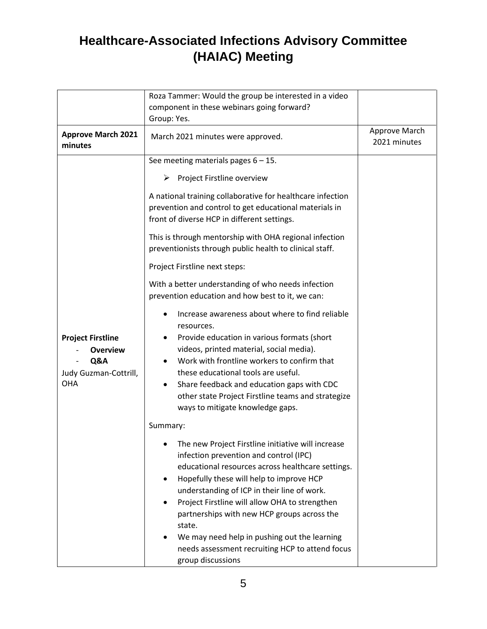|                                                                                           | Roza Tammer: Would the group be interested in a video                                                                                                                                                                                                                                                                                                                                                                                                                                  |                               |
|-------------------------------------------------------------------------------------------|----------------------------------------------------------------------------------------------------------------------------------------------------------------------------------------------------------------------------------------------------------------------------------------------------------------------------------------------------------------------------------------------------------------------------------------------------------------------------------------|-------------------------------|
|                                                                                           | component in these webinars going forward?                                                                                                                                                                                                                                                                                                                                                                                                                                             |                               |
|                                                                                           | Group: Yes.                                                                                                                                                                                                                                                                                                                                                                                                                                                                            |                               |
| <b>Approve March 2021</b><br>minutes                                                      | March 2021 minutes were approved.                                                                                                                                                                                                                                                                                                                                                                                                                                                      | Approve March<br>2021 minutes |
|                                                                                           | See meeting materials pages $6 - 15$ .                                                                                                                                                                                                                                                                                                                                                                                                                                                 |                               |
|                                                                                           | ➤<br>Project Firstline overview                                                                                                                                                                                                                                                                                                                                                                                                                                                        |                               |
|                                                                                           | A national training collaborative for healthcare infection<br>prevention and control to get educational materials in<br>front of diverse HCP in different settings.                                                                                                                                                                                                                                                                                                                    |                               |
|                                                                                           | This is through mentorship with OHA regional infection<br>preventionists through public health to clinical staff.                                                                                                                                                                                                                                                                                                                                                                      |                               |
|                                                                                           | Project Firstline next steps:                                                                                                                                                                                                                                                                                                                                                                                                                                                          |                               |
|                                                                                           | With a better understanding of who needs infection<br>prevention education and how best to it, we can:                                                                                                                                                                                                                                                                                                                                                                                 |                               |
| <b>Project Firstline</b><br><b>Overview</b><br>Q&A<br>Judy Guzman-Cottrill,<br><b>OHA</b> | Increase awareness about where to find reliable<br>resources.<br>Provide education in various formats (short<br>videos, printed material, social media).<br>Work with frontline workers to confirm that<br>these educational tools are useful.<br>Share feedback and education gaps with CDC<br>other state Project Firstline teams and strategize<br>ways to mitigate knowledge gaps.                                                                                                 |                               |
|                                                                                           | Summary:                                                                                                                                                                                                                                                                                                                                                                                                                                                                               |                               |
|                                                                                           | • The new Project Firstline initiative will increase<br>infection prevention and control (IPC)<br>educational resources across healthcare settings.<br>Hopefully these will help to improve HCP<br>٠<br>understanding of ICP in their line of work.<br>Project Firstline will allow OHA to strengthen<br>partnerships with new HCP groups across the<br>state.<br>We may need help in pushing out the learning<br>needs assessment recruiting HCP to attend focus<br>group discussions |                               |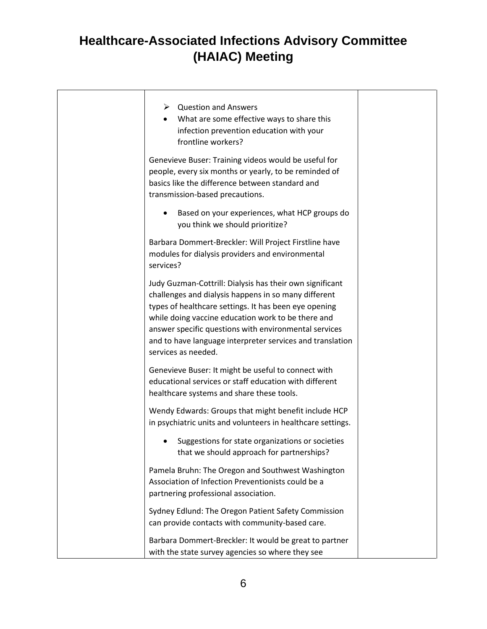| $\triangleright$ Question and Answers<br>What are some effective ways to share this<br>infection prevention education with your<br>frontline workers?                                                                                                                                                                                                                        |  |
|------------------------------------------------------------------------------------------------------------------------------------------------------------------------------------------------------------------------------------------------------------------------------------------------------------------------------------------------------------------------------|--|
| Genevieve Buser: Training videos would be useful for<br>people, every six months or yearly, to be reminded of<br>basics like the difference between standard and<br>transmission-based precautions.                                                                                                                                                                          |  |
| Based on your experiences, what HCP groups do<br>you think we should prioritize?                                                                                                                                                                                                                                                                                             |  |
| Barbara Dommert-Breckler: Will Project Firstline have<br>modules for dialysis providers and environmental<br>services?                                                                                                                                                                                                                                                       |  |
| Judy Guzman-Cottrill: Dialysis has their own significant<br>challenges and dialysis happens in so many different<br>types of healthcare settings. It has been eye opening<br>while doing vaccine education work to be there and<br>answer specific questions with environmental services<br>and to have language interpreter services and translation<br>services as needed. |  |
| Genevieve Buser: It might be useful to connect with<br>educational services or staff education with different<br>healthcare systems and share these tools.                                                                                                                                                                                                                   |  |
| Wendy Edwards: Groups that might benefit include HCP<br>in psychiatric units and volunteers in healthcare settings.                                                                                                                                                                                                                                                          |  |
| Suggestions for state organizations or societies<br>that we should approach for partnerships?                                                                                                                                                                                                                                                                                |  |
| Pamela Bruhn: The Oregon and Southwest Washington<br>Association of Infection Preventionists could be a<br>partnering professional association.                                                                                                                                                                                                                              |  |
| Sydney Edlund: The Oregon Patient Safety Commission<br>can provide contacts with community-based care.                                                                                                                                                                                                                                                                       |  |
| Barbara Dommert-Breckler: It would be great to partner<br>with the state survey agencies so where they see                                                                                                                                                                                                                                                                   |  |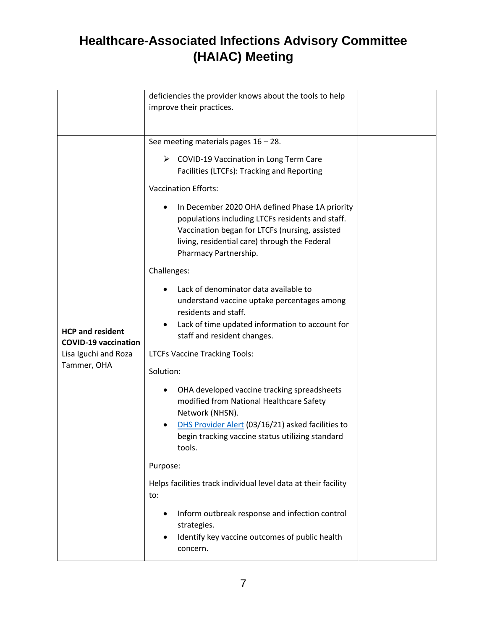|                                                        | deficiencies the provider knows about the tools to help                                                                                                                                                                        |  |
|--------------------------------------------------------|--------------------------------------------------------------------------------------------------------------------------------------------------------------------------------------------------------------------------------|--|
|                                                        | improve their practices.                                                                                                                                                                                                       |  |
|                                                        |                                                                                                                                                                                                                                |  |
|                                                        | See meeting materials pages $16 - 28$ .                                                                                                                                                                                        |  |
|                                                        | $\triangleright$ COVID-19 Vaccination in Long Term Care<br>Facilities (LTCFs): Tracking and Reporting                                                                                                                          |  |
|                                                        | <b>Vaccination Efforts:</b>                                                                                                                                                                                                    |  |
|                                                        | In December 2020 OHA defined Phase 1A priority<br>populations including LTCFs residents and staff.<br>Vaccination began for LTCFs (nursing, assisted<br>living, residential care) through the Federal<br>Pharmacy Partnership. |  |
|                                                        | Challenges:                                                                                                                                                                                                                    |  |
|                                                        | Lack of denominator data available to<br>understand vaccine uptake percentages among<br>residents and staff.<br>Lack of time updated information to account for                                                                |  |
| <b>HCP and resident</b><br><b>COVID-19 vaccination</b> | staff and resident changes.                                                                                                                                                                                                    |  |
| Lisa Iguchi and Roza                                   | <b>LTCFs Vaccine Tracking Tools:</b>                                                                                                                                                                                           |  |
| Tammer, OHA                                            | Solution:                                                                                                                                                                                                                      |  |
|                                                        | OHA developed vaccine tracking spreadsheets<br>modified from National Healthcare Safety<br>Network (NHSN).                                                                                                                     |  |
|                                                        | DHS Provider Alert (03/16/21) asked facilities to<br>begin tracking vaccine status utilizing standard<br>tools.                                                                                                                |  |
|                                                        | Purpose:                                                                                                                                                                                                                       |  |
|                                                        | Helps facilities track individual level data at their facility<br>to:                                                                                                                                                          |  |
|                                                        | Inform outbreak response and infection control<br>strategies.<br>Identify key vaccine outcomes of public health                                                                                                                |  |
|                                                        | concern.                                                                                                                                                                                                                       |  |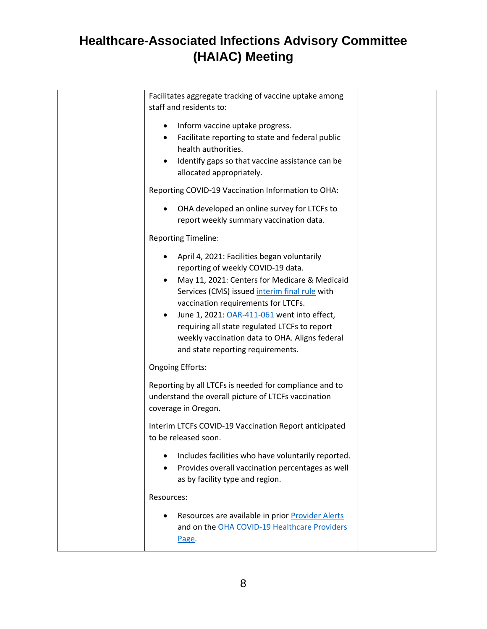| Facilitates aggregate tracking of vaccine uptake among                                                        |  |
|---------------------------------------------------------------------------------------------------------------|--|
| staff and residents to:                                                                                       |  |
| Inform vaccine uptake progress.<br>$\bullet$                                                                  |  |
| Facilitate reporting to state and federal public<br>$\bullet$<br>health authorities.                          |  |
| Identify gaps so that vaccine assistance can be                                                               |  |
| allocated appropriately.                                                                                      |  |
| Reporting COVID-19 Vaccination Information to OHA:                                                            |  |
| OHA developed an online survey for LTCFs to<br>$\bullet$<br>report weekly summary vaccination data.           |  |
| <b>Reporting Timeline:</b>                                                                                    |  |
| April 4, 2021: Facilities began voluntarily<br>$\bullet$<br>reporting of weekly COVID-19 data.                |  |
| May 11, 2021: Centers for Medicare & Medicaid<br>$\bullet$                                                    |  |
| Services (CMS) issued interim final rule with                                                                 |  |
| vaccination requirements for LTCFs.<br>June 1, 2021: OAR-411-061 went into effect,<br>$\bullet$               |  |
| requiring all state regulated LTCFs to report                                                                 |  |
| weekly vaccination data to OHA. Aligns federal                                                                |  |
| and state reporting requirements.                                                                             |  |
| <b>Ongoing Efforts:</b>                                                                                       |  |
| Reporting by all LTCFs is needed for compliance and to<br>understand the overall picture of LTCFs vaccination |  |
| coverage in Oregon.                                                                                           |  |
| Interim LTCFs COVID-19 Vaccination Report anticipated<br>to be released soon.                                 |  |
| Includes facilities who have voluntarily reported.<br>$\bullet$                                               |  |
| Provides overall vaccination percentages as well<br>$\bullet$<br>as by facility type and region.              |  |
| Resources:                                                                                                    |  |
| Resources are available in prior Provider Alerts                                                              |  |
| and on the OHA COVID-19 Healthcare Providers                                                                  |  |
| Page.                                                                                                         |  |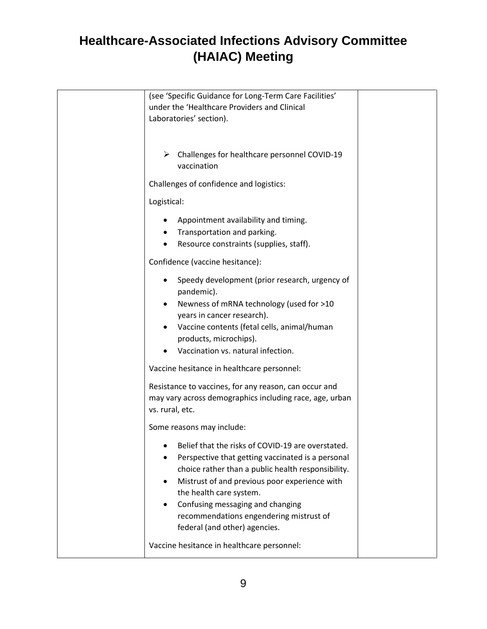| (see 'Specific Guidance for Long-Term Care Facilities'<br>under the 'Healthcare Providers and Clinical<br>Laboratories' section).                                                                                                                                                                                                                                     |
|-----------------------------------------------------------------------------------------------------------------------------------------------------------------------------------------------------------------------------------------------------------------------------------------------------------------------------------------------------------------------|
| Challenges for healthcare personnel COVID-19<br>vaccination                                                                                                                                                                                                                                                                                                           |
| Challenges of confidence and logistics:                                                                                                                                                                                                                                                                                                                               |
| Logistical:                                                                                                                                                                                                                                                                                                                                                           |
| Appointment availability and timing.<br>Transportation and parking.<br>Resource constraints (supplies, staff).                                                                                                                                                                                                                                                        |
| Confidence (vaccine hesitance):                                                                                                                                                                                                                                                                                                                                       |
| Speedy development (prior research, urgency of<br>pandemic).<br>Newness of mRNA technology (used for >10<br>years in cancer research).<br>Vaccine contents (fetal cells, animal/human<br>products, microchips).<br>Vaccination vs. natural infection.                                                                                                                 |
| Vaccine hesitance in healthcare personnel:                                                                                                                                                                                                                                                                                                                            |
| Resistance to vaccines, for any reason, can occur and<br>may vary across demographics including race, age, urban<br>vs. rural, etc.                                                                                                                                                                                                                                   |
| Some reasons may include:                                                                                                                                                                                                                                                                                                                                             |
| Belief that the risks of COVID-19 are overstated.<br>Perspective that getting vaccinated is a personal<br>choice rather than a public health responsibility.<br>Mistrust of and previous poor experience with<br>the health care system.<br>Confusing messaging and changing<br>$\bullet$<br>recommendations engendering mistrust of<br>federal (and other) agencies. |
| Vaccine hesitance in healthcare personnel:                                                                                                                                                                                                                                                                                                                            |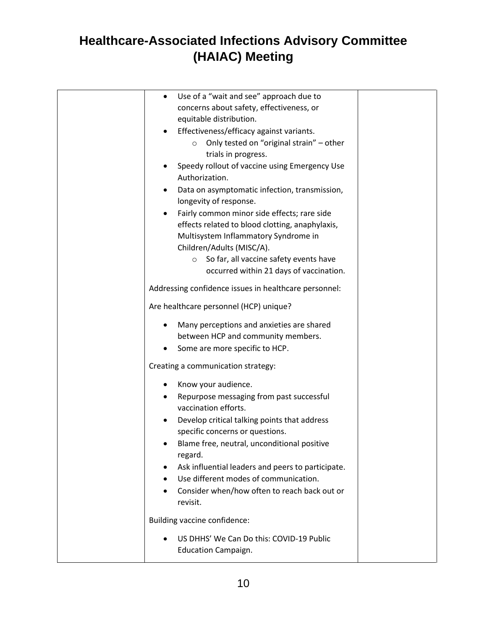| Use of a "wait and see" approach due to<br>$\bullet$  |  |
|-------------------------------------------------------|--|
| concerns about safety, effectiveness, or              |  |
| equitable distribution.                               |  |
| Effectiveness/efficacy against variants.              |  |
| Only tested on "original strain" - other<br>$\circ$   |  |
| trials in progress.                                   |  |
| Speedy rollout of vaccine using Emergency Use         |  |
| Authorization.                                        |  |
| Data on asymptomatic infection, transmission,         |  |
| longevity of response.                                |  |
| Fairly common minor side effects; rare side           |  |
| effects related to blood clotting, anaphylaxis,       |  |
| Multisystem Inflammatory Syndrome in                  |  |
| Children/Adults (MISC/A).                             |  |
| So far, all vaccine safety events have<br>$\circ$     |  |
| occurred within 21 days of vaccination.               |  |
| Addressing confidence issues in healthcare personnel: |  |
| Are healthcare personnel (HCP) unique?                |  |
| Many perceptions and anxieties are shared<br>٠        |  |
| between HCP and community members.                    |  |
| Some are more specific to HCP.                        |  |
| Creating a communication strategy:                    |  |
| Know your audience.<br>٠                              |  |
| Repurpose messaging from past successful<br>٠         |  |
| vaccination efforts.                                  |  |
| Develop critical talking points that address          |  |
| specific concerns or questions.                       |  |
| Blame free, neutral, unconditional positive           |  |
| regard.                                               |  |
| Ask influential leaders and peers to participate.     |  |
| Use different modes of communication.                 |  |
| Consider when/how often to reach back out or          |  |
| revisit.                                              |  |
| Building vaccine confidence:                          |  |
| US DHHS' We Can Do this: COVID-19 Public              |  |
| <b>Education Campaign.</b>                            |  |
|                                                       |  |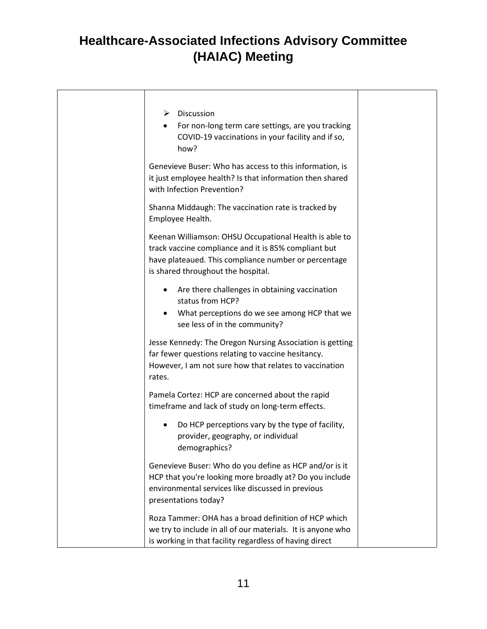| ➤      | <b>Discussion</b><br>For non-long term care settings, are you tracking<br>COVID-19 vaccinations in your facility and if so,<br>how?                                                                          |
|--------|--------------------------------------------------------------------------------------------------------------------------------------------------------------------------------------------------------------|
|        | Genevieve Buser: Who has access to this information, is<br>it just employee health? Is that information then shared<br>with Infection Prevention?                                                            |
|        | Shanna Middaugh: The vaccination rate is tracked by<br>Employee Health.                                                                                                                                      |
|        | Keenan Williamson: OHSU Occupational Health is able to<br>track vaccine compliance and it is 85% compliant but<br>have plateaued. This compliance number or percentage<br>is shared throughout the hospital. |
|        | Are there challenges in obtaining vaccination<br>status from HCP?<br>What perceptions do we see among HCP that we<br>see less of in the community?                                                           |
| rates. | Jesse Kennedy: The Oregon Nursing Association is getting<br>far fewer questions relating to vaccine hesitancy.<br>However, I am not sure how that relates to vaccination                                     |
|        | Pamela Cortez: HCP are concerned about the rapid<br>timeframe and lack of study on long-term effects.                                                                                                        |
|        | Do HCP perceptions vary by the type of facility,<br>provider, geography, or individual<br>demographics?                                                                                                      |
|        | Genevieve Buser: Who do you define as HCP and/or is it<br>HCP that you're looking more broadly at? Do you include<br>environmental services like discussed in previous<br>presentations today?               |
|        | Roza Tammer: OHA has a broad definition of HCP which<br>we try to include in all of our materials. It is anyone who<br>is working in that facility regardless of having direct                               |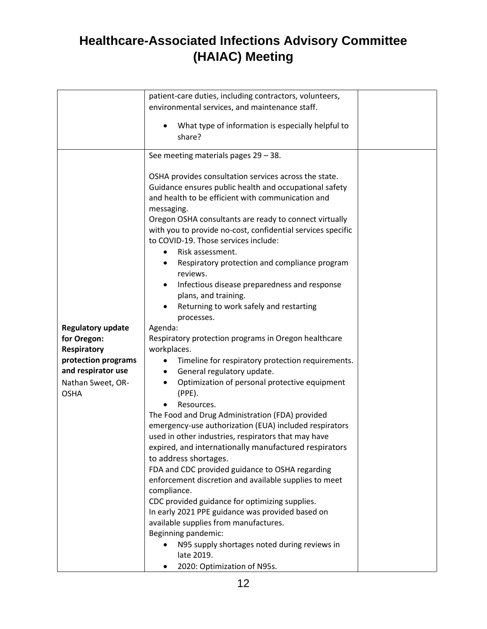|                                  | patient-care duties, including contractors, volunteers,                 |  |
|----------------------------------|-------------------------------------------------------------------------|--|
|                                  | environmental services, and maintenance staff.                          |  |
|                                  |                                                                         |  |
|                                  | What type of information is especially helpful to                       |  |
|                                  | share?                                                                  |  |
|                                  |                                                                         |  |
|                                  | See meeting materials pages $29 - 38$ .                                 |  |
|                                  | OSHA provides consultation services across the state.                   |  |
|                                  | Guidance ensures public health and occupational safety                  |  |
|                                  | and health to be efficient with communication and                       |  |
|                                  | messaging.                                                              |  |
|                                  | Oregon OSHA consultants are ready to connect virtually                  |  |
|                                  | with you to provide no-cost, confidential services specific             |  |
|                                  | to COVID-19. Those services include:                                    |  |
|                                  | Risk assessment.                                                        |  |
|                                  | Respiratory protection and compliance program<br>٠<br>reviews.          |  |
|                                  | Infectious disease preparedness and response                            |  |
|                                  | plans, and training.                                                    |  |
|                                  | Returning to work safely and restarting                                 |  |
|                                  | processes.                                                              |  |
| <b>Regulatory update</b>         | Agenda:                                                                 |  |
| for Oregon:                      | Respiratory protection programs in Oregon healthcare                    |  |
| <b>Respiratory</b>               | workplaces.                                                             |  |
| protection programs              | Timeline for respiratory protection requirements.                       |  |
| and respirator use               | General regulatory update.<br>$\bullet$                                 |  |
| Nathan Sweet, OR-<br><b>OSHA</b> | Optimization of personal protective equipment<br>$\bullet$<br>$(PPE)$ . |  |
|                                  | Resources.                                                              |  |
|                                  | The Food and Drug Administration (FDA) provided                         |  |
|                                  | emergency-use authorization (EUA) included respirators                  |  |
|                                  | used in other industries, respirators that may have                     |  |
|                                  | expired, and internationally manufactured respirators                   |  |
|                                  | to address shortages.                                                   |  |
|                                  | FDA and CDC provided guidance to OSHA regarding                         |  |
|                                  | enforcement discretion and available supplies to meet                   |  |
|                                  | compliance.                                                             |  |
|                                  | CDC provided guidance for optimizing supplies.                          |  |
|                                  | In early 2021 PPE guidance was provided based on                        |  |
|                                  | available supplies from manufactures.                                   |  |
|                                  | Beginning pandemic:                                                     |  |
|                                  | N95 supply shortages noted during reviews in<br>late 2019.              |  |
|                                  | 2020: Optimization of N95s.                                             |  |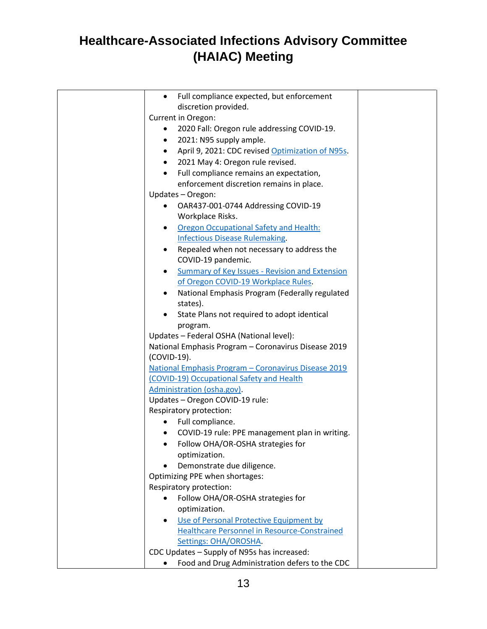| Full compliance expected, but enforcement<br>$\bullet$   |  |
|----------------------------------------------------------|--|
| discretion provided.                                     |  |
| Current in Oregon:                                       |  |
| 2020 Fall: Oregon rule addressing COVID-19.<br>$\bullet$ |  |
| 2021: N95 supply ample.                                  |  |
| April 9, 2021: CDC revised Optimization of N95s.<br>٠    |  |
| 2021 May 4: Oregon rule revised.<br>$\bullet$            |  |
| Full compliance remains an expectation,                  |  |
| enforcement discretion remains in place.                 |  |
| Updates - Oregon:                                        |  |
| OAR437-001-0744 Addressing COVID-19                      |  |
| Workplace Risks.                                         |  |
| <b>Oregon Occupational Safety and Health:</b><br>٠       |  |
| <b>Infectious Disease Rulemaking.</b>                    |  |
| Repealed when not necessary to address the               |  |
| COVID-19 pandemic.                                       |  |
| <b>Summary of Key Issues - Revision and Extension</b>    |  |
| of Oregon COVID-19 Workplace Rules.                      |  |
| National Emphasis Program (Federally regulated<br>٠      |  |
| states).                                                 |  |
| State Plans not required to adopt identical              |  |
| program.                                                 |  |
| Updates - Federal OSHA (National level):                 |  |
| National Emphasis Program - Coronavirus Disease 2019     |  |
| (COVID-19).                                              |  |
| National Emphasis Program - Coronavirus Disease 2019     |  |
| (COVID-19) Occupational Safety and Health                |  |
| Administration (osha.gov).                               |  |
| Updates - Oregon COVID-19 rule:                          |  |
| Respiratory protection:                                  |  |
| Full compliance.<br>$\bullet$                            |  |
| COVID-19 rule: PPE management plan in writing.           |  |
| Follow OHA/OR-OSHA strategies for                        |  |
| optimization.                                            |  |
| Demonstrate due diligence.<br>$\bullet$                  |  |
| Optimizing PPE when shortages:                           |  |
| Respiratory protection:                                  |  |
| Follow OHA/OR-OSHA strategies for                        |  |
| optimization.                                            |  |
| Use of Personal Protective Equipment by                  |  |
| Healthcare Personnel in Resource-Constrained             |  |
| Settings: OHA/OROSHA.                                    |  |
| CDC Updates - Supply of N95s has increased:              |  |
| Food and Drug Administration defers to the CDC           |  |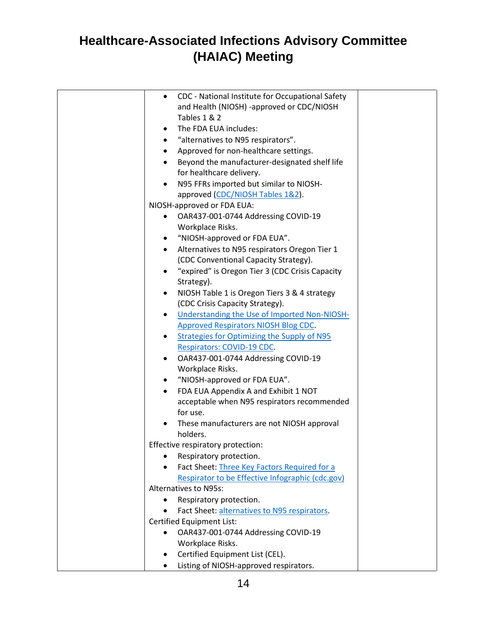| CDC - National Institute for Occupational Safety<br>$\bullet$ |  |
|---------------------------------------------------------------|--|
| and Health (NIOSH) -approved or CDC/NIOSH                     |  |
| Tables 1 & 2                                                  |  |
| The FDA EUA includes:<br>٠                                    |  |
| "alternatives to N95 respirators".<br>$\bullet$               |  |
| Approved for non-healthcare settings.<br>٠                    |  |
| Beyond the manufacturer-designated shelf life                 |  |
| for healthcare delivery.                                      |  |
| N95 FFRs imported but similar to NIOSH-                       |  |
| approved (CDC/NIOSH Tables 1&2).                              |  |
| NIOSH-approved or FDA EUA:                                    |  |
| OAR437-001-0744 Addressing COVID-19                           |  |
| Workplace Risks.                                              |  |
| "NIOSH-approved or FDA EUA".<br>٠                             |  |
| Alternatives to N95 respirators Oregon Tier 1<br>$\bullet$    |  |
| (CDC Conventional Capacity Strategy).                         |  |
| "expired" is Oregon Tier 3 (CDC Crisis Capacity               |  |
| Strategy).                                                    |  |
| NIOSH Table 1 is Oregon Tiers 3 & 4 strategy<br>٠             |  |
| (CDC Crisis Capacity Strategy).                               |  |
| Understanding the Use of Imported Non-NIOSH-<br>$\bullet$     |  |
| <b>Approved Respirators NIOSH Blog CDC.</b>                   |  |
| <b>Strategies for Optimizing the Supply of N95</b>            |  |
| Respirators: COVID-19 CDC.                                    |  |
| OAR437-001-0744 Addressing COVID-19<br>٠                      |  |
| Workplace Risks.                                              |  |
| "NIOSH-approved or FDA EUA".<br>٠                             |  |
| FDA EUA Appendix A and Exhibit 1 NOT                          |  |
| acceptable when N95 respirators recommended                   |  |
| for use.                                                      |  |
| These manufacturers are not NIOSH approval                    |  |
| holders.                                                      |  |
| Effective respiratory protection:                             |  |
| Respiratory protection.                                       |  |
| Fact Sheet: Three Key Factors Required for a<br>$\bullet$     |  |
| Respirator to be Effective Infographic (cdc.gov)              |  |
| Alternatives to N95s:                                         |  |
| Respiratory protection.                                       |  |
| Fact Sheet: alternatives to N95 respirators.                  |  |
| Certified Equipment List:                                     |  |
| OAR437-001-0744 Addressing COVID-19                           |  |
| Workplace Risks.                                              |  |
| Certified Equipment List (CEL).<br>٠                          |  |
| Listing of NIOSH-approved respirators.<br>$\bullet$           |  |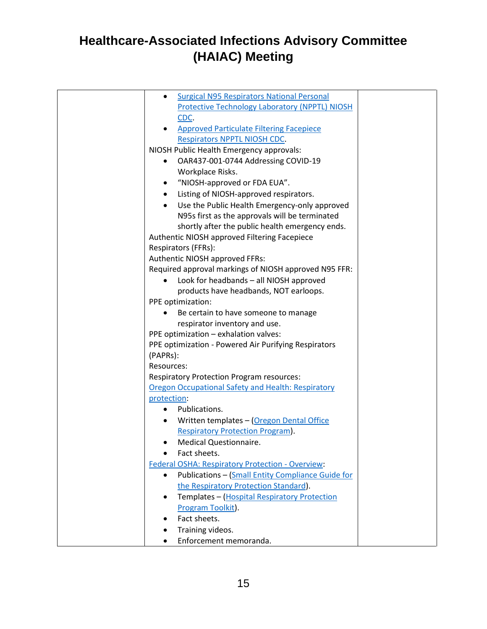| <b>Surgical N95 Respirators National Personal</b>             |  |
|---------------------------------------------------------------|--|
| Protective Technology Laboratory (NPPTL) NIOSH                |  |
| CDC.                                                          |  |
| <b>Approved Particulate Filtering Facepiece</b>               |  |
| <b>Respirators NPPTL NIOSH CDC.</b>                           |  |
| NIOSH Public Health Emergency approvals:                      |  |
| OAR437-001-0744 Addressing COVID-19<br>٠                      |  |
| Workplace Risks.                                              |  |
| "NIOSH-approved or FDA EUA".                                  |  |
| Listing of NIOSH-approved respirators.<br>٠                   |  |
| Use the Public Health Emergency-only approved<br>$\bullet$    |  |
| N95s first as the approvals will be terminated                |  |
| shortly after the public health emergency ends.               |  |
| Authentic NIOSH approved Filtering Facepiece                  |  |
| Respirators (FFRs):                                           |  |
| Authentic NIOSH approved FFRs:                                |  |
| Required approval markings of NIOSH approved N95 FFR:         |  |
| Look for headbands - all NIOSH approved                       |  |
| products have headbands, NOT earloops.                        |  |
| PPE optimization:                                             |  |
| Be certain to have someone to manage                          |  |
| respirator inventory and use.                                 |  |
| PPE optimization - exhalation valves:                         |  |
| PPE optimization - Powered Air Purifying Respirators          |  |
| (PAPRs):                                                      |  |
| Resources:                                                    |  |
| <b>Respiratory Protection Program resources:</b>              |  |
| Oregon Occupational Safety and Health: Respiratory            |  |
| protection:                                                   |  |
| Publications.                                                 |  |
| Written templates - (Oregon Dental Office                     |  |
| <b>Respiratory Protection Program).</b>                       |  |
| Medical Questionnaire.                                        |  |
| Fact sheets.<br>$\bullet$                                     |  |
| <b>Federal OSHA: Respiratory Protection - Overview:</b>       |  |
| <b>Publications - (Small Entity Compliance Guide for</b><br>٠ |  |
| the Respiratory Protection Standard).                         |  |
| Templates - (Hospital Respiratory Protection<br>$\bullet$     |  |
| Program Toolkit).                                             |  |
| Fact sheets.                                                  |  |
| Training videos.                                              |  |
| Enforcement memoranda.                                        |  |